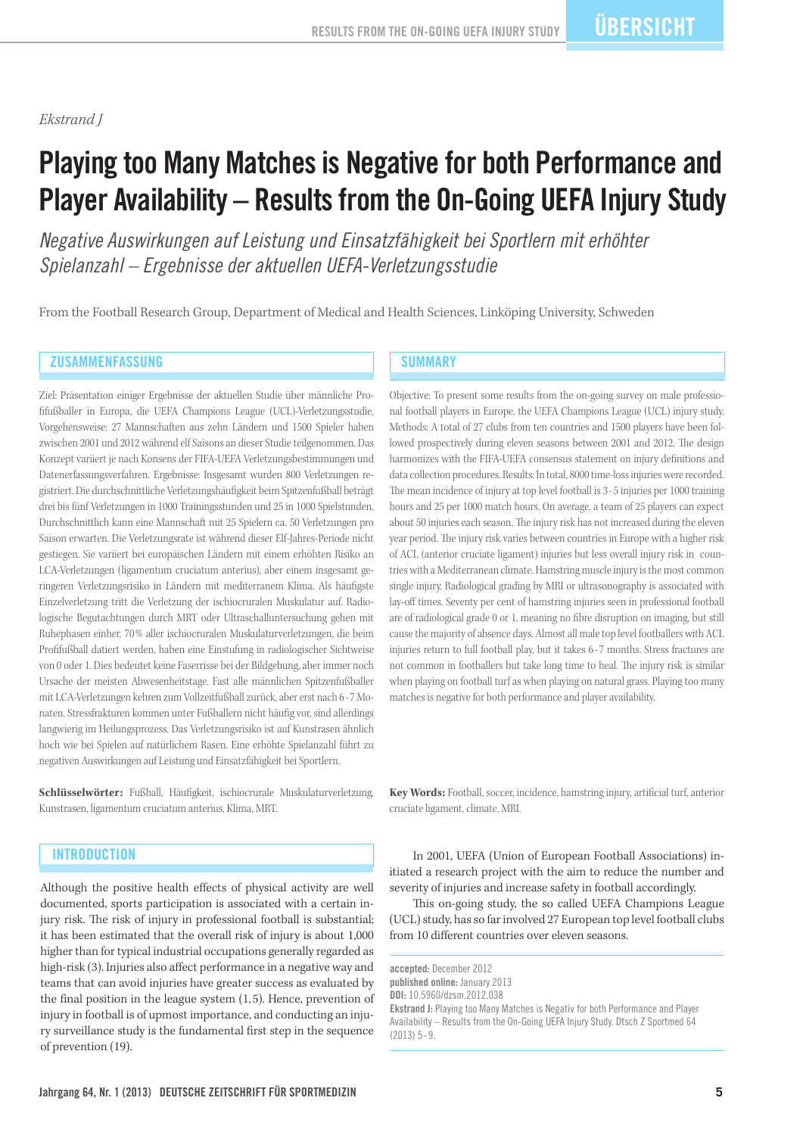# *Ekstrand J*

# Playing too Many Matches is Negative for both Performance and Player Availability – Results from the On-Going UEFA Injury Study

*Negative Auswirkungen auf Leistung und Einsatzfähigkeit bei Sportlern mit erhöhter Spielanzahl – Ergebnisse der aktuellen UEFA-Verletzungsstudie*

From the Football Research Group, Department of Medical and Health Sciences, Linköping University, Schweden

# ZUSAMMENFASSUNG SUMMARY

Ziel: Präsentation einiger Ergebnisse der aktuellen Studie über männliche Profifußballer in Europa, die UEFA Champions League (UCL)-Verletzungsstudie. Vorgehensweise: 27 Mannschaften aus zehn Ländern und 1500 Spieler haben zwischen 2001 und 2012 während elf Saisons an dieser Studie teilgenommen. Das Konzept variiert je nach Konsens der FIFA-UEFA Verletzungsbestimmungen und Datenerfassungsverfahren. Ergebnisse: Insgesamt wurden 800 Verletzungen registriert. Die durchschnittliche Verletzungshäufigkeit beim Spitzenfußball beträgt drei bis fünf Verletzungen in 1000 Trainingsstunden und 25 in 1000 Spielstunden. Durchschnittlich kann eine Mannschaft mit 25 Spielern ca. 50 Verletzungen pro Saison erwarten. Die Verletzungsrate ist während dieser Elf-Jahres-Periode nicht gestiegen. Sie variiert bei europäischen Ländern mit einem erhöhten Risiko an LCA-Verletzungen (ligamentum cruciatum anterius), aber einem insgesamt geringeren Verletzungsrisiko in Ländern mit mediterranem Klima. Als häufigste Einzelverletzung tritt die Verletzung der ischiocruralen Muskulatur auf. Radiologische Begutachtungen durch MRT oder Ultraschalluntersuchung gehen mit Ruhephasen einher. 70 % aller ischiocruralen Muskulaturverletzungen, die beim Profifußball datiert werden, haben eine Einstufung in radiologischer Sichtweise von 0 oder 1. Dies bedeutet keine Faserrisse bei der Bildgebung, aber immer noch Ursache der meisten Abwesenheitstage. Fast alle männlichen Spitzenfußballer mit LCA-Verletzungen kehren zum Vollzeitfußball zurück, aber erst nach 6 - 7 Monaten. Stressfrakturen kommen unter Fußballern nicht häufig vor, sind allerdings langwierig im Heilungsprozess. Das Verletzungsrisiko ist auf Kunstrasen ähnlich hoch wie bei Spielen auf natürlichem Rasen. Eine erhöhte Spielanzahl führt zu negativen Auswirkungen auf Leistung und Einsatzfähigkeit bei Sportlern.

**Schlüsselwörter:** Fußball, Häufigkeit, ischiocrurale Muskulaturverletzung, Kunstrasen, ligamentum cruciatum anterius, Klima, MRT.

# **INTRODUCTION**

Although the positive health effects of physical activity are well documented, sports participation is associated with a certain injury risk. The risk of injury in professional football is substantial; it has been estimated that the overall risk of injury is about 1,000 higher than for typical industrial occupations generally regarded as high-risk (3). Injuries also affect performance in a negative way and teams that can avoid injuries have greater success as evaluated by the final position in the league system (1,5). Hence, prevention of injury in football is of upmost importance, and conducting an injury surveillance study is the fundamental first step in the sequence of prevention (19).

Objective: To present some results from the on-going survey on male professional football players in Europe, the UEFA Champions League (UCL) injury study. Methods: A total of 27 clubs from ten countries and 1500 players have been followed prospectively during eleven seasons between 2001 and 2012. The design harmonizes with the FIFA-UEFA consensus statement on injury definitions and data collection procedures. Results: In total, 8000 time-loss injuries were recorded. The mean incidence of injury at top level football is 3 - 5 injuries per 1000 training hours and 25 per 1000 match hours. On average, a team of 25 players can expect about 50 injuries each season. The injury risk has not increased during the eleven year period. The injury risk varies between countries in Europe with a higher risk of ACL (anterior cruciate ligament) injuries but less overall injury risk in countries with a Mediterranean climate. Hamstring muscle injury is the most common single injury. Radiological grading by MRI or ultrasonography is associated with lay-off times. Seventy per cent of hamstring injuries seen in professional football are of radiological grade 0 or 1, meaning no fibre disruption on imaging, but still cause the majority of absence days. Almost all male top level footballers with ACL injuries return to full football play, but it takes 6 - 7 months. Stress fractures are not common in footballers but take long time to heal. The injury risk is similar when playing on football turf as when playing on natural grass. Playing too many matches is negative for both performance and player availability.

**Key Words:** Football, soccer, incidence, hamstring injury, artificial turf, anterior cruciate ligament, climate, MRI.

In 2001, UEFA (Union of European Football Associations) initiated a research project with the aim to reduce the number and severity of injuries and increase safety in football accordingly.

This on-going study, the so called UEFA Champions League (UCL) study, has so far involved 27 European top level football clubs from 10 different countries over eleven seasons.

accepted: December 2012 published online: January 2013

DOI: 10.5960/dzsm.2012.038

Ekstrand J: Playing too Many Matches is Negativ for both Performance and Player Availability – Results from the On-Going UEFA Injury Study. Dtsch Z Sportmed 64 (2013) 5-9.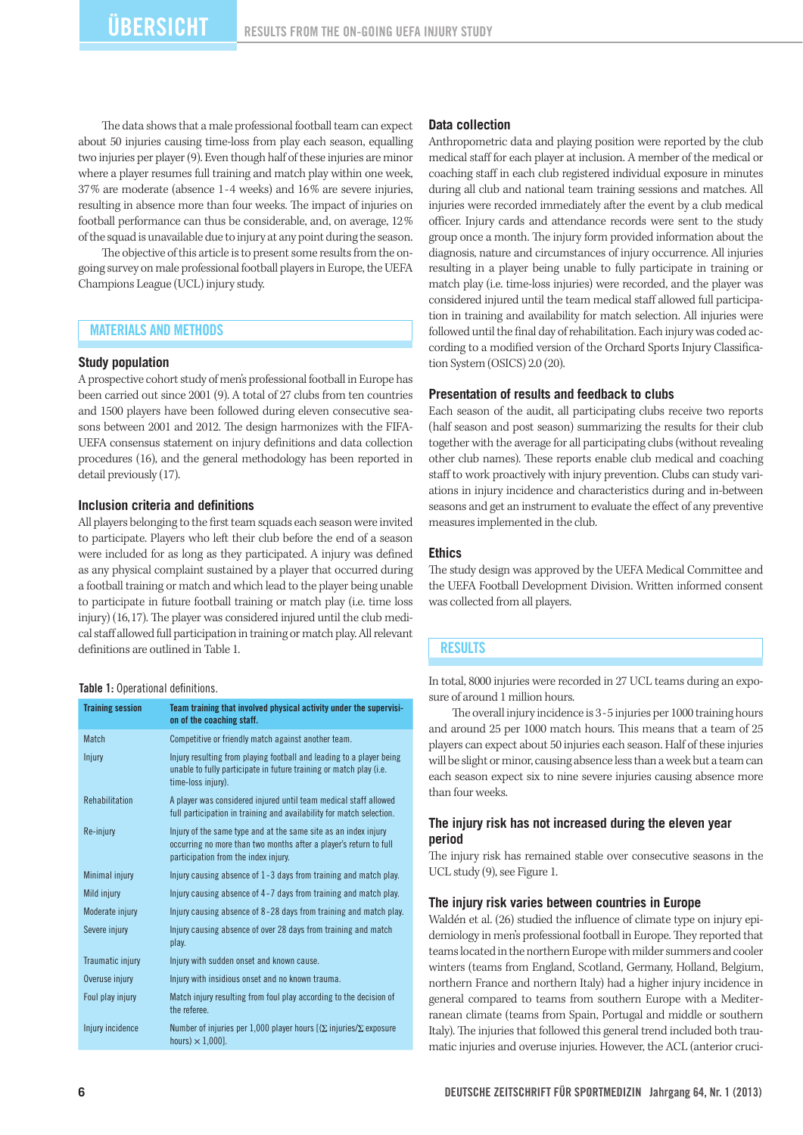The data shows that a male professional football team can expect about 50 injuries causing time-loss from play each season, equalling two injuries per player (9). Even though half of these injuries are minor where a player resumes full training and match play within one week, 37% are moderate (absence 1-4 weeks) and 16% are severe injuries, resulting in absence more than four weeks. The impact of injuries on football performance can thus be considerable, and, on average, 12% of the squad is unavailable due to injury at any point during the season.

The objective of this article is to present some results from the ongoing survey on male professional football players in Europe, the UEFA Champions League (UCL) injury study.

# MATERIALS AND METHODS

#### **Study population**

A prospective cohort study of men's professional football in Europe has been carried out since 2001 (9). A total of 27 clubs from ten countries and 1500 players have been followed during eleven consecutive seasons between 2001 and 2012. The design harmonizes with the FIFA-UEFA consensus statement on injury definitions and data collection procedures (16), and the general methodology has been reported in detail previously (17).

#### **Inclusion criteria and definitions**

All players belonging to the first team squads each season were invited to participate. Players who left their club before the end of a season were included for as long as they participated. A injury was defined as any physical complaint sustained by a player that occurred during a football training or match and which lead to the player being unable to participate in future football training or match play (i.e. time loss injury) (16,17). The player was considered injured until the club medical staff allowed full participation in training or match play. All relevant definitions are outlined in Table 1.

#### Table 1: Operational definitions.

| <b>Training session</b> | Team training that involved physical activity under the supervisi-<br>on of the coaching staff.                                                                              |
|-------------------------|------------------------------------------------------------------------------------------------------------------------------------------------------------------------------|
| Match                   | Competitive or friendly match against another team.                                                                                                                          |
| Injury                  | Injury resulting from playing football and leading to a player being<br>unable to fully participate in future training or match play (i.e.<br>time-loss injury).             |
| Rehabilitation          | A player was considered injured until team medical staff allowed<br>full participation in training and availability for match selection.                                     |
| Re-injury               | Injury of the same type and at the same site as an index injury<br>occurring no more than two months after a player's return to full<br>participation from the index injury. |
| Minimal injury          | Injury causing absence of 1-3 days from training and match play.                                                                                                             |
| Mild injury             | Injury causing absence of 4-7 days from training and match play.                                                                                                             |
| Moderate injury         | Injury causing absence of 8-28 days from training and match play.                                                                                                            |
| Severe injury           | Injury causing absence of over 28 days from training and match<br>play.                                                                                                      |
| Traumatic injury        | Injury with sudden onset and known cause.                                                                                                                                    |
| Overuse injury          | Injury with insidious onset and no known trauma.                                                                                                                             |
| Foul play injury        | Match injury resulting from foul play according to the decision of<br>the referee.                                                                                           |
| Injury incidence        | Number of injuries per 1,000 player hours $[(\Sigma \text{ injuries}/\Sigma \text{ exposures})]$<br>hours) $\times$ 1,000].                                                  |

#### **Data collection**

Anthropometric data and playing position were reported by the club medical staff for each player at inclusion. A member of the medical or coaching staff in each club registered individual exposure in minutes during all club and national team training sessions and matches. All injuries were recorded immediately after the event by a club medical officer. Injury cards and attendance records were sent to the study group once a month. The injury form provided information about the diagnosis, nature and circumstances of injury occurrence. All injuries resulting in a player being unable to fully participate in training or match play (i.e. time-loss injuries) were recorded, and the player was considered injured until the team medical staff allowed full participation in training and availability for match selection. All injuries were followed until the final day of rehabilitation. Each injury was coded according to a modified version of the Orchard Sports Injury Classification System (OSICS) 2.0 (20).

#### **Presentation of results and feedback to clubs**

Each season of the audit, all participating clubs receive two reports (half season and post season) summarizing the results for their club together with the average for all participating clubs (without revealing other club names). These reports enable club medical and coaching staff to work proactively with injury prevention. Clubs can study variations in injury incidence and characteristics during and in-between seasons and get an instrument to evaluate the effect of any preventive measures implemented in the club.

#### **Ethics**

The study design was approved by the UEFA Medical Committee and the UEFA Football Development Division. Written informed consent was collected from all players.

# **RESULTS**

In total, 8000 injuries were recorded in 27 UCL teams during an exposure of around 1 million hours.

The overall injury incidence is 3-5 injuries per 1000 training hours and around 25 per 1000 match hours. This means that a team of 25 players can expect about 50 injuries each season. Half of these injuries will be slight or minor, causing absence less than a week but a team can each season expect six to nine severe injuries causing absence more than four weeks.

# **The injury risk has not increased during the eleven year period**

The injury risk has remained stable over consecutive seasons in the UCL study (9), see Figure 1.

#### **The injury risk varies between countries in Europe**

Waldén et al. (26) studied the influence of climate type on injury epidemiology in men's professional football in Europe. They reported that teams located in the northern Europe with milder summers and cooler winters (teams from England, Scotland, Germany, Holland, Belgium, northern France and northern Italy) had a higher injury incidence in general compared to teams from southern Europe with a Mediterranean climate (teams from Spain, Portugal and middle or southern Italy). The injuries that followed this general trend included both traumatic injuries and overuse injuries. However, the ACL (anterior cruci-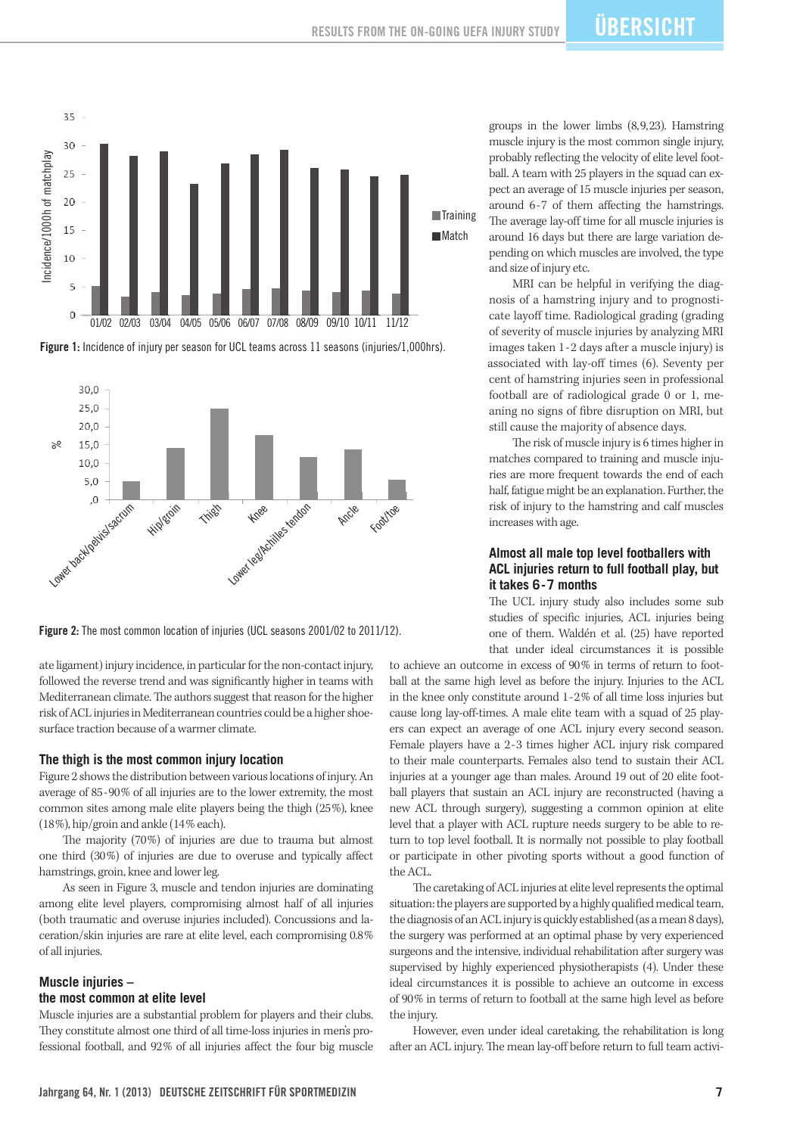

Figure 1: Incidence of injury per season for UCL teams across 11 seasons (injuries/1,000hrs).



Figure 2: The most common location of injuries (UCL seasons 2001/02 to 2011/12).

ate ligament) injury incidence, in particular for the non-contact injury, followed the reverse trend and was significantly higher in teams with Mediterranean climate. The authors suggest that reason for the higher risk of ACL injuries in Mediterranean countries could be a higher shoesurface traction because of a warmer climate.

#### **The thigh is the most common injury location**

Figure 2 shows the distribution between various locations of injury. An average of 85-90% of all injuries are to the lower extremity, the most common sites among male elite players being the thigh (25%), knee (18%), hip/groin and ankle (14% each).

The majority (70%) of injuries are due to trauma but almost one third (30%) of injuries are due to overuse and typically affect hamstrings, groin, knee and lower leg.

As seen in Figure 3, muscle and tendon injuries are dominating among elite level players, compromising almost half of all injuries (both traumatic and overuse injuries included). Concussions and laceration/skin injuries are rare at elite level, each compromising 0.8% of all injuries.

# **Muscle injuries – the most common at elite level**

Muscle injuries are a substantial problem for players and their clubs. They constitute almost one third of all time-loss injuries in men's professional football, and 92% of all injuries affect the four big muscle

groups in the lower limbs (8,9,23). Hamstring muscle injury is the most common single injury, probably reflecting the velocity of elite level football. A team with 25 players in the squad can expect an average of 15 muscle injuries per season, around 6-7 of them affecting the hamstrings. The average lay-off time for all muscle injuries is around 16 days but there are large variation depending on which muscles are involved, the type and size of injury etc.

MRI can be helpful in verifying the diagnosis of a hamstring injury and to prognosticate layoff time. Radiological grading (grading of severity of muscle injuries by analyzing MRI images taken 1-2 days after a muscle injury) is associated with lay-off times (6). Seventy per cent of hamstring injuries seen in professional football are of radiological grade 0 or 1, meaning no signs of fibre disruption on MRI, but still cause the majority of absence days.

The risk of muscle injury is 6 times higher in matches compared to training and muscle injuries are more frequent towards the end of each half, fatigue might be an explanation. Further, the risk of injury to the hamstring and calf muscles increases with age.

#### **Almost all male top level footballers with ACL injuries return to full football play, but it takes 6-7 months**

The UCL injury study also includes some sub studies of specific injuries, ACL injuries being one of them. Waldén et al. (25) have reported that under ideal circumstances it is possible

to achieve an outcome in excess of 90% in terms of return to football at the same high level as before the injury. Injuries to the ACL in the knee only constitute around 1-2% of all time loss injuries but cause long lay-off-times. A male elite team with a squad of 25 players can expect an average of one ACL injury every second season. Female players have a 2-3 times higher ACL injury risk compared to their male counterparts. Females also tend to sustain their ACL injuries at a younger age than males. Around 19 out of 20 elite football players that sustain an ACL injury are reconstructed (having a new ACL through surgery), suggesting a common opinion at elite level that a player with ACL rupture needs surgery to be able to return to top level football. It is normally not possible to play football or participate in other pivoting sports without a good function of the ACL.

The caretaking of ACL injuries at elite level represents the optimal situation: the players are supported by a highly qualified medical team, the diagnosis of an ACL injury is quickly established (as a mean 8 days), the surgery was performed at an optimal phase by very experienced surgeons and the intensive, individual rehabilitation after surgery was supervised by highly experienced physiotherapists (4). Under these ideal circumstances it is possible to achieve an outcome in excess of 90% in terms of return to football at the same high level as before the injury.

However, even under ideal caretaking, the rehabilitation is long after an ACL injury. The mean lay-off before return to full team activi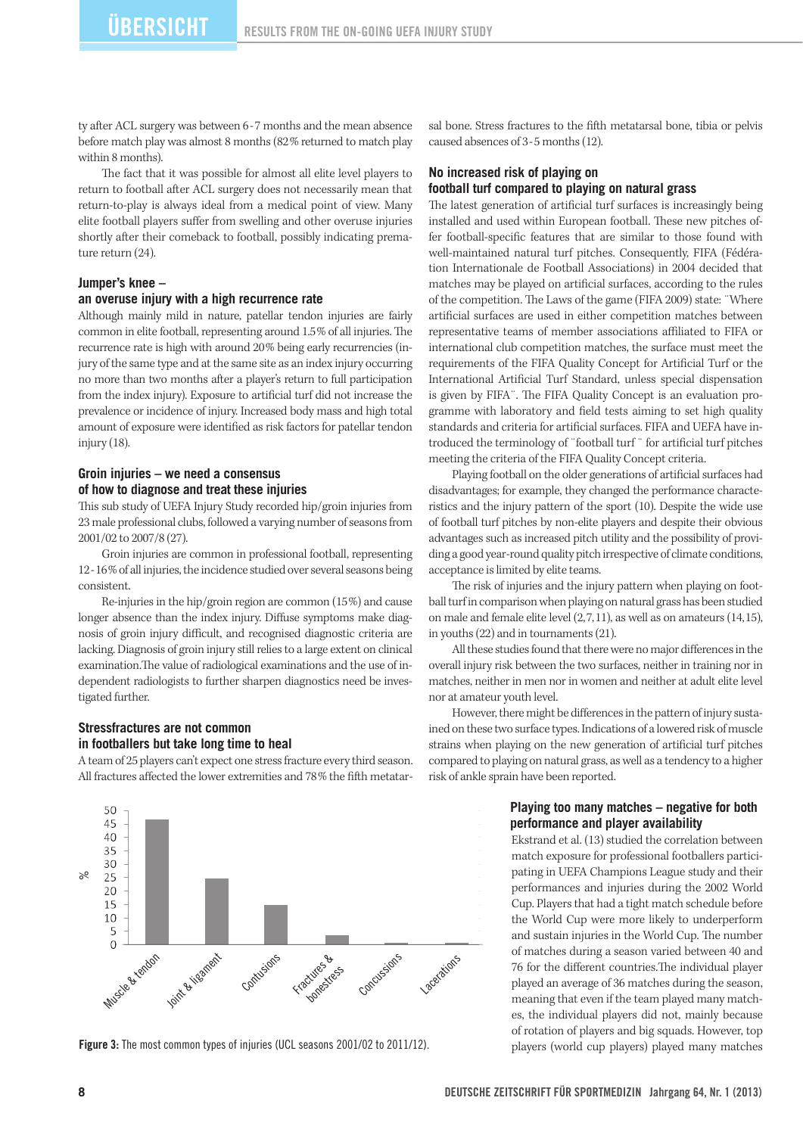ty after ACL surgery was between 6-7 months and the mean absence before match play was almost 8 months (82% returned to match play within 8 months).

The fact that it was possible for almost all elite level players to return to football after ACL surgery does not necessarily mean that return-to-play is always ideal from a medical point of view. Many elite football players suffer from swelling and other overuse injuries shortly after their comeback to football, possibly indicating premature return (24).

# **Jumper's knee –**

#### **an overuse injury with a high recurrence rate**

Although mainly mild in nature, patellar tendon injuries are fairly common in elite football, representing around 1.5% of all injuries. The recurrence rate is high with around 20% being early recurrencies (injury of the same type and at the same site as an index injury occurring no more than two months after a player's return to full participation from the index injury). Exposure to artificial turf did not increase the prevalence or incidence of injury. Increased body mass and high total amount of exposure were identified as risk factors for patellar tendon injury (18).

# **Groin injuries – we need a consensus of how to diagnose and treat these injuries**

This sub study of UEFA Injury Study recorded hip/groin injuries from 23 male professional clubs, followed a varying number of seasons from 2001/02 to 2007/8 (27).

Groin injuries are common in professional football, representing 12-16% of all injuries, the incidence studied over several seasons being consistent.

Re-injuries in the hip/groin region are common (15%) and cause longer absence than the index injury. Diffuse symptoms make diagnosis of groin injury difficult, and recognised diagnostic criteria are lacking. Diagnosis of groin injury still relies to a large extent on clinical examination.The value of radiological examinations and the use of independent radiologists to further sharpen diagnostics need be investigated further.

# **Stressfractures are not common in footballers but take long time to heal**

A team of 25 players can't expect one stress fracture every third season. All fractures affected the lower extremities and 78% the fifth metatar-



Figure 3: The most common types of injuries (UCL seasons 2001/02 to 2011/12).

sal bone. Stress fractures to the fifth metatarsal bone, tibia or pelvis caused absences of 3-5 months (12).

# **No increased risk of playing on football turf compared to playing on natural grass**

The latest generation of artificial turf surfaces is increasingly being installed and used within European football. These new pitches offer football-specific features that are similar to those found with well-maintained natural turf pitches. Consequently, FIFA (Fédération Internationale de Football Associations) in 2004 decided that matches may be played on artificial surfaces, according to the rules of the competition. The Laws of the game (FIFA 2009) state: ¨Where artificial surfaces are used in either competition matches between representative teams of member associations affiliated to FIFA or international club competition matches, the surface must meet the requirements of the FIFA Quality Concept for Artificial Turf or the International Artificial Turf Standard, unless special dispensation is given by FIFA¨. The FIFA Quality Concept is an evaluation programme with laboratory and field tests aiming to set high quality standards and criteria for artificial surfaces. FIFA and UEFA have introduced the terminology of ¨football turf ¨ for artificial turf pitches meeting the criteria of the FIFA Quality Concept criteria.

Playing football on the older generations of artificial surfaces had disadvantages; for example, they changed the performance characteristics and the injury pattern of the sport (10). Despite the wide use of football turf pitches by non-elite players and despite their obvious advantages such as increased pitch utility and the possibility of providing a good year-round quality pitch irrespective of climate conditions, acceptance is limited by elite teams.

The risk of injuries and the injury pattern when playing on football turf in comparison when playing on natural grass has been studied on male and female elite level (2,7,11), as well as on amateurs (14,15), in youths (22) and in tournaments (21).

All these studies found that there were no major differences in the overall injury risk between the two surfaces, neither in training nor in matches, neither in men nor in women and neither at adult elite level nor at amateur youth level.

However, there might be differences in the pattern of injury sustained on these two surface types. Indications of a lowered risk of muscle strains when playing on the new generation of artificial turf pitches compared to playing on natural grass, as well as a tendency to a higher risk of ankle sprain have been reported.

# **Playing too many matches – negative for both performance and player availability**

Ekstrand et al. (13) studied the correlation between match exposure for professional footballers participating in UEFA Champions League study and their performances and injuries during the 2002 World Cup. Players that had a tight match schedule before the World Cup were more likely to underperform and sustain injuries in the World Cup. The number of matches during a season varied between 40 and 76 for the different countries.The individual player played an average of 36 matches during the season, meaning that even if the team played many matches, the individual players did not, mainly because of rotation of players and big squads. However, top players (world cup players) played many matches